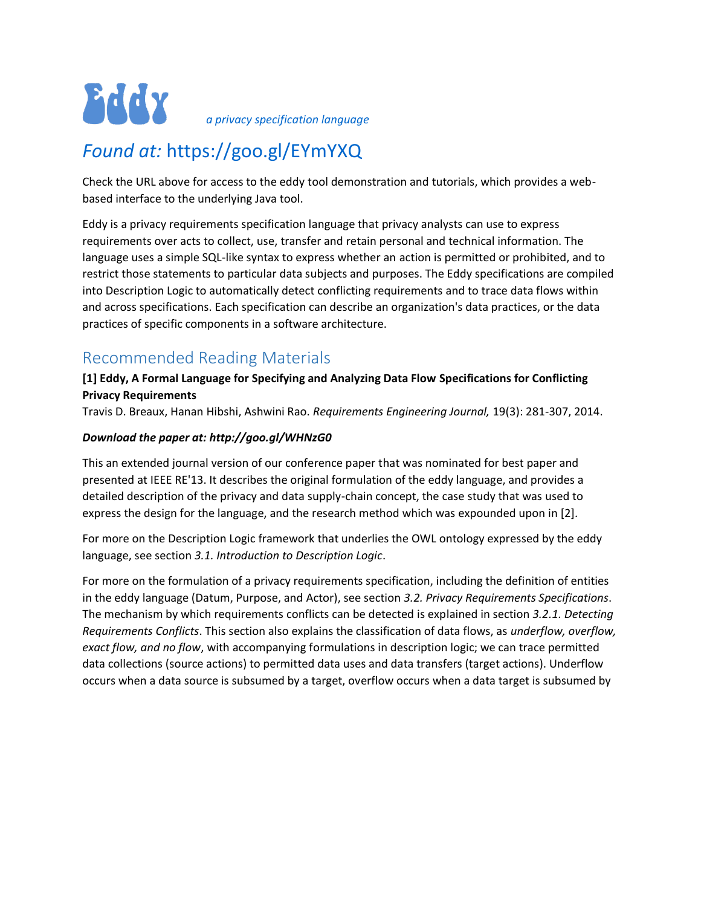

*a privacy specification language*

# *Found at:* https://goo.gl/EYmYXQ

Check the URL above for access to the eddy tool demonstration and tutorials, which provides a webbased interface to the underlying Java tool.

Eddy is a privacy requirements specification language that privacy analysts can use to express requirements over acts to collect, use, transfer and retain personal and technical information. The language uses a simple SQL-like syntax to express whether an action is permitted or prohibited, and to restrict those statements to particular data subjects and purposes. The Eddy specifications are compiled into Description Logic to automatically detect conflicting requirements and to trace data flows within and across specifications. Each specification can describe an organization's data practices, or the data practices of specific components in a software architecture.

# Recommended Reading Materials

## **[1] Eddy, A Formal Language for Specifying and Analyzing Data Flow Specifications for Conflicting Privacy Requirements**

Travis D. Breaux, Hanan Hibshi, Ashwini Rao. *Requirements Engineering Journal,* 19(3): 281-307, 2014.

### *Download the paper at: http://goo.gl/WHNzG0*

This an extended journal version of our conference paper that was nominated for best paper and presented at IEEE RE'13. It describes the original formulation of the eddy language, and provides a detailed description of the privacy and data supply-chain concept, the case study that was used to express the design for the language, and the research method which was expounded upon in [2].

For more on the Description Logic framework that underlies the OWL ontology expressed by the eddy language, see section *3.1. Introduction to Description Logic*.

For more on the formulation of a privacy requirements specification, including the definition of entities in the eddy language (Datum, Purpose, and Actor), see section *3.2. Privacy Requirements Specifications*. The mechanism by which requirements conflicts can be detected is explained in section *3.2.1. Detecting Requirements Conflicts*. This section also explains the classification of data flows, as *underflow, overflow, exact flow, and no flow*, with accompanying formulations in description logic; we can trace permitted data collections (source actions) to permitted data uses and data transfers (target actions). Underflow occurs when a data source is subsumed by a target, overflow occurs when a data target is subsumed by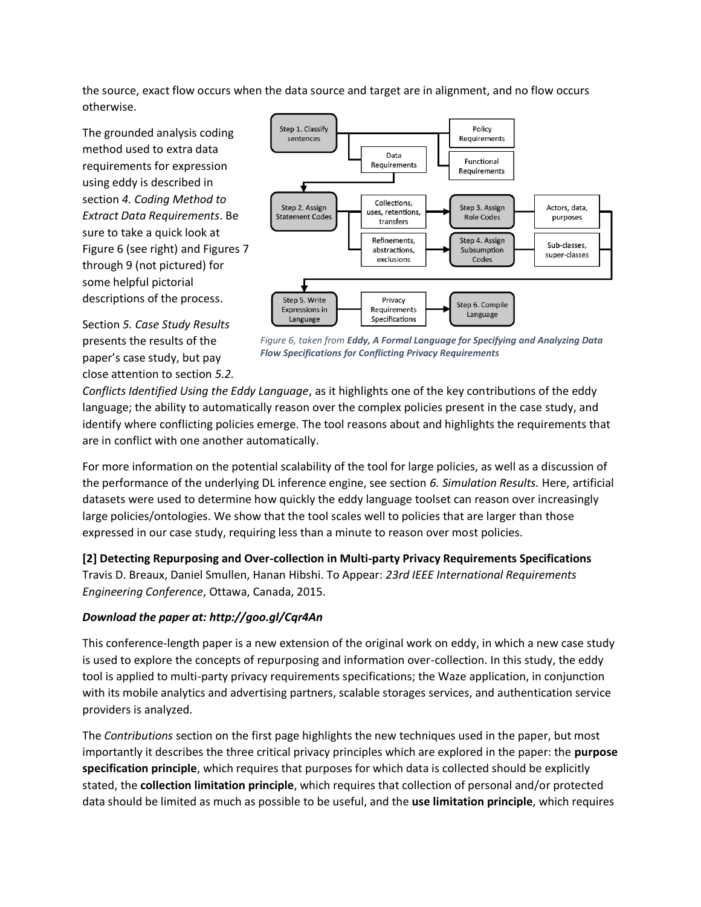the source, exact flow occurs when the data source and target are in alignment, and no flow occurs otherwise.

The grounded analysis coding method used to extra data requirements for expression using eddy is described in section *4. Coding Method to Extract Data Requirements*. Be sure to take a quick look at Figure 6 (see right) and Figures 7 through 9 (not pictured) for some helpful pictorial descriptions of the process.



Section *5. Case Study Results* presents the results of the paper's case study, but pay close attention to section *5.2.* 

*Figure 6, taken from Eddy, A Formal Language for Specifying and Analyzing Data Flow Specifications for Conflicting Privacy Requirements*

*Conflicts Identified Using the Eddy Language*, as it highlights one of the key contributions of the eddy language; the ability to automatically reason over the complex policies present in the case study, and identify where conflicting policies emerge. The tool reasons about and highlights the requirements that are in conflict with one another automatically.

For more information on the potential scalability of the tool for large policies, as well as a discussion of the performance of the underlying DL inference engine, see section *6. Simulation Results.* Here, artificial datasets were used to determine how quickly the eddy language toolset can reason over increasingly large policies/ontologies. We show that the tool scales well to policies that are larger than those expressed in our case study, requiring less than a minute to reason over most policies.

**[2] Detecting Repurposing and Over-collection in Multi-party Privacy Requirements Specifications** Travis D. Breaux, Daniel Smullen, Hanan Hibshi. To Appear: *23rd IEEE International Requirements Engineering Conference*, Ottawa, Canada, 2015.

### *Download the paper at: http://goo.gl/Cqr4An*

This conference-length paper is a new extension of the original work on eddy, in which a new case study is used to explore the concepts of repurposing and information over-collection. In this study, the eddy tool is applied to multi-party privacy requirements specifications; the Waze application, in conjunction with its mobile analytics and advertising partners, scalable storages services, and authentication service providers is analyzed.

The *Contributions* section on the first page highlights the new techniques used in the paper, but most importantly it describes the three critical privacy principles which are explored in the paper: the **purpose specification principle**, which requires that purposes for which data is collected should be explicitly stated, the **collection limitation principle**, which requires that collection of personal and/or protected data should be limited as much as possible to be useful, and the **use limitation principle**, which requires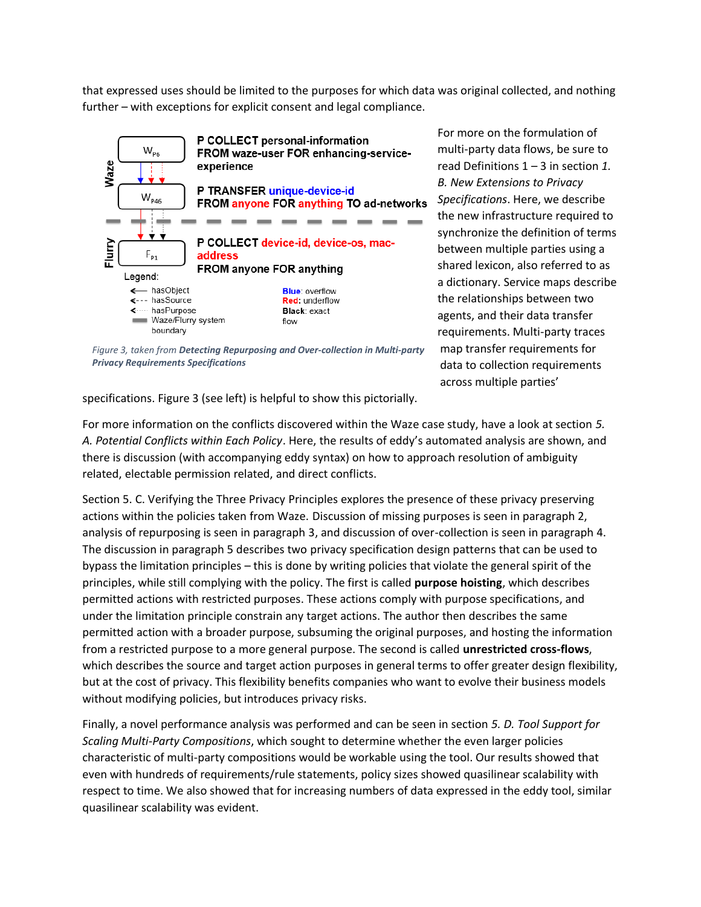that expressed uses should be limited to the purposes for which data was original collected, and nothing further – with exceptions for explicit consent and legal compliance.



*Figure 3, taken from Detecting Repurposing and Over-collection in Multi-party Privacy Requirements Specifications*

For more on the formulation of multi-party data flows, be sure to read Definitions 1 – 3 in section *1. B. New Extensions to Privacy Specifications*. Here, we describe the new infrastructure required to synchronize the definition of terms between multiple parties using a shared lexicon, also referred to as a dictionary. Service maps describe the relationships between two agents, and their data transfer requirements. Multi-party traces map transfer requirements for data to collection requirements across multiple parties'

specifications. Figure 3 (see left) is helpful to show this pictorially.

For more information on the conflicts discovered within the Waze case study, have a look at section *5. A. Potential Conflicts within Each Policy*. Here, the results of eddy's automated analysis are shown, and there is discussion (with accompanying eddy syntax) on how to approach resolution of ambiguity related, electable permission related, and direct conflicts.

Section 5. C. Verifying the Three Privacy Principles explores the presence of these privacy preserving actions within the policies taken from Waze. Discussion of missing purposes is seen in paragraph 2, analysis of repurposing is seen in paragraph 3, and discussion of over-collection is seen in paragraph 4. The discussion in paragraph 5 describes two privacy specification design patterns that can be used to bypass the limitation principles – this is done by writing policies that violate the general spirit of the principles, while still complying with the policy. The first is called **purpose hoisting**, which describes permitted actions with restricted purposes. These actions comply with purpose specifications, and under the limitation principle constrain any target actions. The author then describes the same permitted action with a broader purpose, subsuming the original purposes, and hosting the information from a restricted purpose to a more general purpose. The second is called **unrestricted cross-flows**, which describes the source and target action purposes in general terms to offer greater design flexibility, but at the cost of privacy. This flexibility benefits companies who want to evolve their business models without modifying policies, but introduces privacy risks.

Finally, a novel performance analysis was performed and can be seen in section *5. D. Tool Support for Scaling Multi-Party Compositions*, which sought to determine whether the even larger policies characteristic of multi-party compositions would be workable using the tool. Our results showed that even with hundreds of requirements/rule statements, policy sizes showed quasilinear scalability with respect to time. We also showed that for increasing numbers of data expressed in the eddy tool, similar quasilinear scalability was evident.